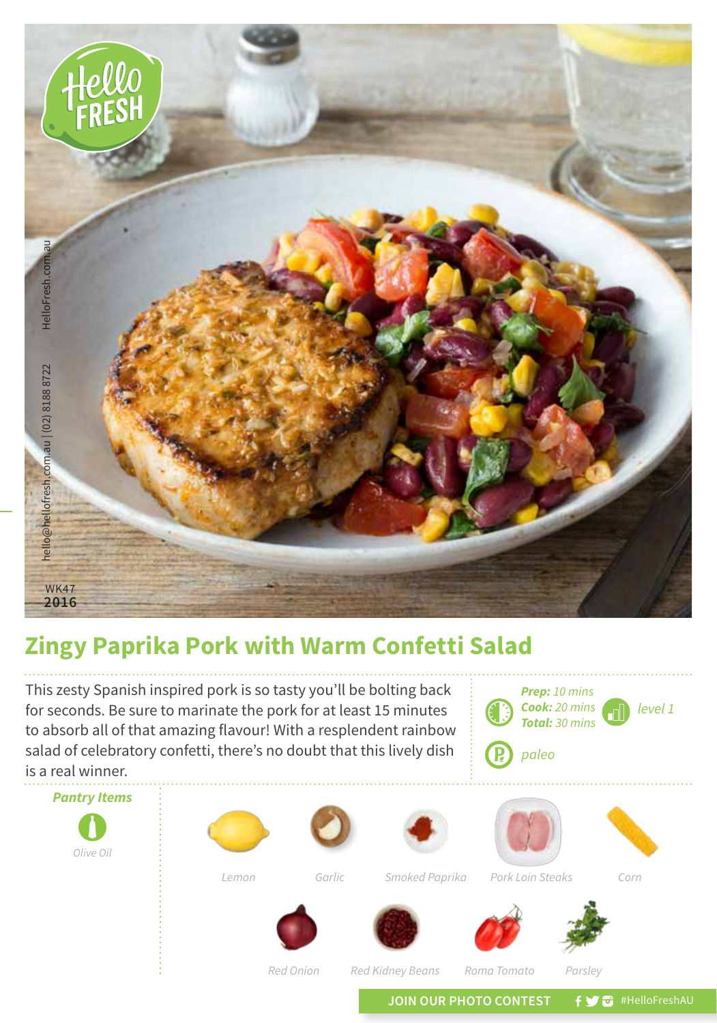

## **Zingy Paprika Pork with Warm Confetti Salad**

This zesty Spanish inspired pork is so tasty you'll be bolting back for seconds. Be sure to marinate the pork for at least 15 minutes to absorb all of that amazing flavour! With a resplendent rainbow salad of celebratory confetti, there's no doubt that this lively dish is a real winner.

*level 1 Prep: 10 mins Cook: 20 mins Total: 30 mins* **P** *paleo*





*Red Kidney Beans Roma Tomato Parsley*

JOIN OUR PHOTO CONTEST **f y** a #HelloFreshAU